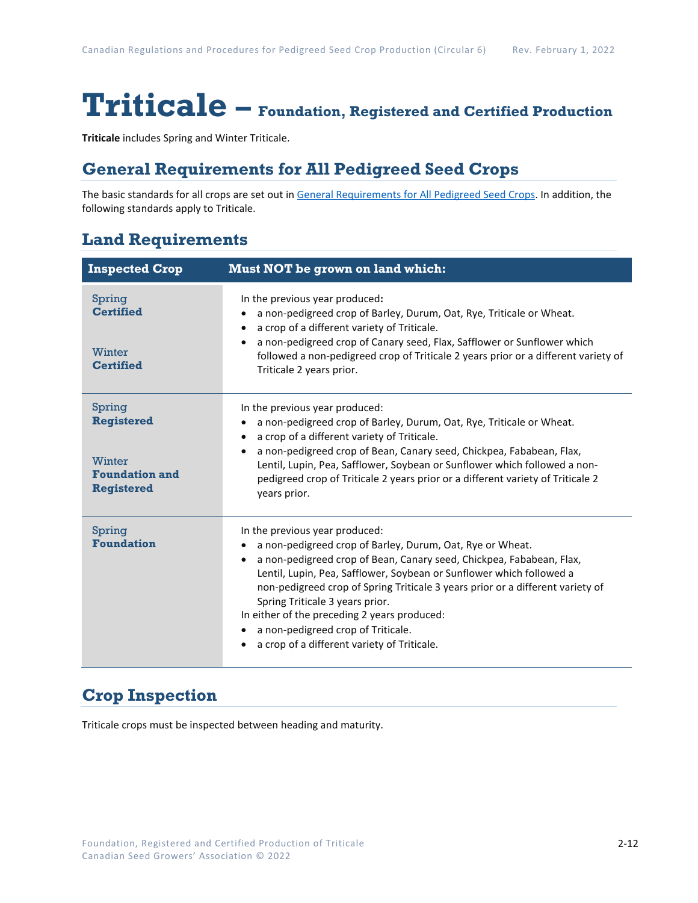# **Triticale – Foundation, Registered and Certified Production**

**Triticale** includes Spring and Winter Triticale.

## **General Requirements for All Pedigreed Seed Crops**

The basic standards for all crops are set out i[n General Requirements for All Pedigreed Seed](https://seedgrowers.ca/wp-content/uploads/2020/01/GENERAL-REQUIREMENTS-ALL-CROPS_EN.pdf) Crops. In addition, the following standards apply to Triticale.

## **Land Requirements**

| <b>Inspected Crop</b>                                                               | <b>Must NOT be grown on land which:</b>                                                                                                                                                                                                                                                                                                                                                                                                                                                               |  |  |
|-------------------------------------------------------------------------------------|-------------------------------------------------------------------------------------------------------------------------------------------------------------------------------------------------------------------------------------------------------------------------------------------------------------------------------------------------------------------------------------------------------------------------------------------------------------------------------------------------------|--|--|
| Spring<br><b>Certified</b><br>Winter<br><b>Certified</b>                            | In the previous year produced:<br>a non-pedigreed crop of Barley, Durum, Oat, Rye, Triticale or Wheat.<br>a crop of a different variety of Triticale.<br>a non-pedigreed crop of Canary seed, Flax, Safflower or Sunflower which<br>$\bullet$<br>followed a non-pedigreed crop of Triticale 2 years prior or a different variety of<br>Triticale 2 years prior.                                                                                                                                       |  |  |
| Spring<br><b>Registered</b><br>Winter<br><b>Foundation and</b><br><b>Registered</b> | In the previous year produced:<br>a non-pedigreed crop of Barley, Durum, Oat, Rye, Triticale or Wheat.<br>a crop of a different variety of Triticale.<br>a non-pedigreed crop of Bean, Canary seed, Chickpea, Fababean, Flax,<br>$\bullet$<br>Lentil, Lupin, Pea, Safflower, Soybean or Sunflower which followed a non-<br>pedigreed crop of Triticale 2 years prior or a different variety of Triticale 2<br>years prior.                                                                            |  |  |
| Spring<br><b>Foundation</b>                                                         | In the previous year produced:<br>a non-pedigreed crop of Barley, Durum, Oat, Rye or Wheat.<br>a non-pedigreed crop of Bean, Canary seed, Chickpea, Fababean, Flax,<br>Lentil, Lupin, Pea, Safflower, Soybean or Sunflower which followed a<br>non-pedigreed crop of Spring Triticale 3 years prior or a different variety of<br>Spring Triticale 3 years prior.<br>In either of the preceding 2 years produced:<br>a non-pedigreed crop of Triticale.<br>a crop of a different variety of Triticale. |  |  |

## **Crop Inspection**

Triticale crops must be inspected between heading and maturity.